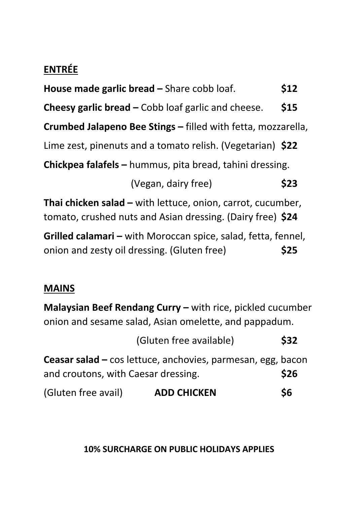# **ENTRÉE**

| House made garlic bread – Share cobb loaf.                                                                                       | \$12 |  |  |
|----------------------------------------------------------------------------------------------------------------------------------|------|--|--|
| <b>Cheesy garlic bread – Cobb loaf garlic and cheese.</b>                                                                        | \$15 |  |  |
| <b>Crumbed Jalapeno Bee Stings - filled with fetta, mozzarella,</b>                                                              |      |  |  |
| Lime zest, pinenuts and a tomato relish. (Vegetarian) \$22                                                                       |      |  |  |
| <b>Chickpea falafels - hummus, pita bread, tahini dressing.</b>                                                                  |      |  |  |
| (Vegan, dairy free)                                                                                                              | \$23 |  |  |
| <b>Thai chicken salad – with lettuce, onion, carrot, cucumber,</b><br>tomato, crushed nuts and Asian dressing. (Dairy free) \$24 |      |  |  |
| Grilled calamari – with Moroccan spice, salad, fetta, fennel,<br>onion and zesty oil dressing. (Gluten free)                     | \$25 |  |  |
|                                                                                                                                  |      |  |  |

## **MAINS**

**Malaysian Beef Rendang Curry –** with rice, pickled cucumber onion and sesame salad, Asian omelette, and pappadum.

|                                     | (Gluten free available)                                     | <b>\$32</b> |
|-------------------------------------|-------------------------------------------------------------|-------------|
|                                     | Ceasar salad – cos lettuce, anchovies, parmesan, egg, bacon |             |
| and croutons, with Caesar dressing. |                                                             | <b>\$26</b> |
| (Gluten free avail)                 | <b>ADD CHICKEN</b>                                          | \$6         |

**10% SURCHARGE ON PUBLIC HOLIDAYS APPLIES**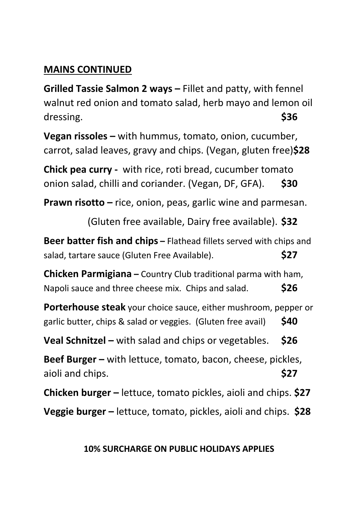## **MAINS CONTINUED**

**Grilled Tassie Salmon 2 ways –** Fillet and patty, with fennel walnut red onion and tomato salad, herb mayo and lemon oil dressing. **\$36**

**Vegan rissoles –** with hummus, tomato, onion, cucumber, carrot, salad leaves, gravy and chips. (Vegan, gluten free)**\$28**

**Chick pea curry -** with rice, roti bread, cucumber tomato onion salad, chilli and coriander. (Vegan, DF, GFA). **\$30**

**Prawn risotto –** rice, onion, peas, garlic wine and parmesan.

(Gluten free available, Dairy free available). **\$32**

**Beer batter fish and chips –** Flathead fillets served with chips and salad, tartare sauce (Gluten Free Available). **\$27**

**Chicken Parmigiana –** Country Club traditional parma with ham, Napoli sauce and three cheese mix. Chips and salad. **\$26**

**Porterhouse steak** your choice sauce, either mushroom, pepper or garlic butter, chips & salad or veggies. (Gluten free avail) **\$40**

**Veal Schnitzel –** with salad and chips or vegetables. **\$26**

**Beef Burger –** with lettuce, tomato, bacon, cheese, pickles, aioli and chips. **\$27**

**Chicken burger –** lettuce, tomato pickles, aioli and chips. **\$27**

**Veggie burger –** lettuce, tomato, pickles, aioli and chips. **\$28**

#### **10% SURCHARGE ON PUBLIC HOLIDAYS APPLIES**